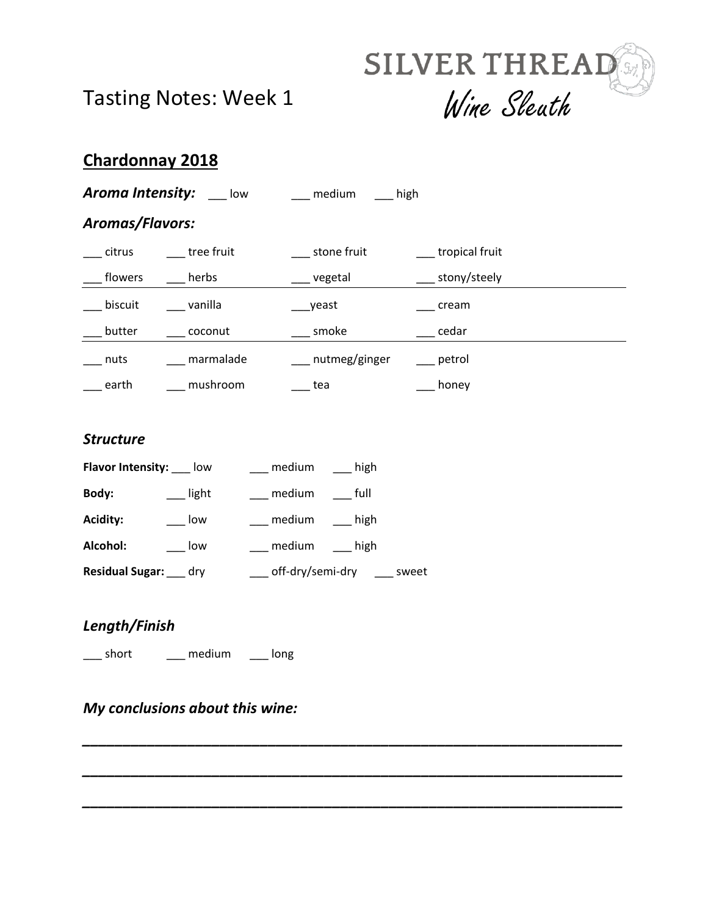



## **Chardonnay 2018**

| Aroma Intensity:<br>low                      |             | medium<br>high   |                  |  |  |  |
|----------------------------------------------|-------------|------------------|------------------|--|--|--|
| <b>Aromas/Flavors:</b>                       |             |                  |                  |  |  |  |
| citrus                                       | tree fruit  | stone fruit      | tropical fruit   |  |  |  |
| flowers                                      | herbs       | vegetal          | ___ stony/steely |  |  |  |
| biscuit                                      | ___ vanilla | yeast            | cream            |  |  |  |
| butter                                       | coconut     | smoke            | cedar            |  |  |  |
| nuts                                         | marmalade   | __ nutmeg/ginger | petrol           |  |  |  |
| earth                                        | mushroom    | tea              | honey            |  |  |  |
|                                              |             |                  |                  |  |  |  |
| <b>Structure</b>                             |             |                  |                  |  |  |  |
| Flavor Intensity: ____ low<br>high<br>medium |             |                  |                  |  |  |  |

*\_\_\_\_\_\_\_\_\_\_\_\_\_\_\_\_\_\_\_\_\_\_\_\_\_\_\_\_\_\_\_\_\_\_\_\_\_\_\_\_\_\_\_\_\_\_\_\_\_\_\_\_\_\_\_\_\_\_\_\_\_\_\_\_\_\_\_*

*\_\_\_\_\_\_\_\_\_\_\_\_\_\_\_\_\_\_\_\_\_\_\_\_\_\_\_\_\_\_\_\_\_\_\_\_\_\_\_\_\_\_\_\_\_\_\_\_\_\_\_\_\_\_\_\_\_\_\_\_\_\_\_\_\_\_\_*

*\_\_\_\_\_\_\_\_\_\_\_\_\_\_\_\_\_\_\_\_\_\_\_\_\_\_\_\_\_\_\_\_\_\_\_\_\_\_\_\_\_\_\_\_\_\_\_\_\_\_\_\_\_\_\_\_\_\_\_\_\_\_\_\_\_\_\_*

| Body:           | light | medium           | full      |
|-----------------|-------|------------------|-----------|
| <b>Acidity:</b> | low   | medium           | $\_$ high |
| Alcohol:        | low   | medium           | high      |
| Residual Sugar: | drv   | off-dry/semi-dry | sweet     |

#### *Length/Finish*

\_\_\_ short \_\_\_ medium \_\_\_ long

### *My conclusions about this wine:*